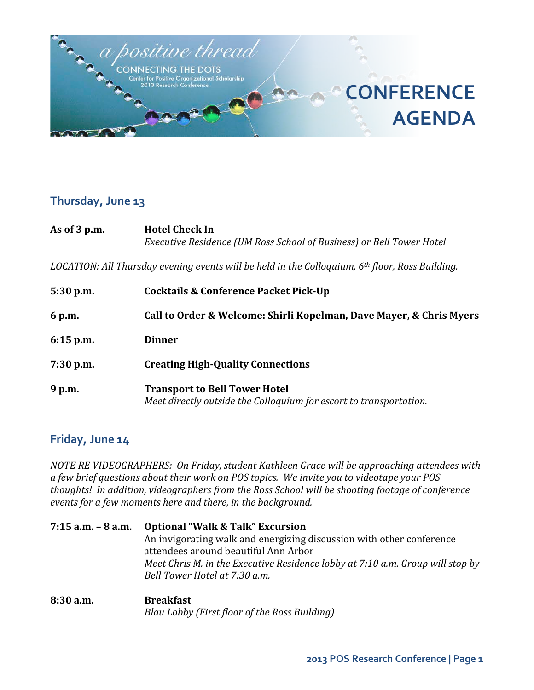

#### **Thursday, June 13**

| As of $3$ p.m. | <b>Hotel Check In</b><br>Executive Residence (UM Ross School of Business) or Bell Tower Hotel     |  |
|----------------|---------------------------------------------------------------------------------------------------|--|
|                | LOCATION: All Thursday evening events will be held in the Colloquium, $6th$ floor, Ross Building. |  |
| $5:30$ p.m.    | Cocktails & Conference Packet Pick-Up                                                             |  |
| 6 p.m.         | Call to Order & Welcome: Shirli Kopelman, Dave Mayer, & Chris Myers                               |  |
| $6:15$ p.m.    | <b>Dinner</b>                                                                                     |  |

- **7:30 p.m. Creating High-Quality Connections**
- **9 p.m. Transport to Bell Tower Hotel** *Meet directly outside the Colloquium for escort to transportation.*

#### **Friday, June 14**

*NOTE RE VIDEOGRAPHERS: On Friday, student Kathleen Grace will be approaching attendees with a few brief questions about their work on POS topics. We invite you to videotape your POS thoughts! In addition, videographers from the Ross School will be shooting footage of conference events for a few moments here and there, in the background.*

**7:15 a.m. – 8 a.m. Optional "Walk & Talk" Excursion** An invigorating walk and energizing discussion with other conference attendees around beautiful Ann Arbor *Meet Chris M. in the Executive Residence lobby at 7:10 a.m. Group will stop by Bell Tower Hotel at 7:30 a.m.*

**8:30 a.m. Breakfast** *Blau Lobby (First floor of the Ross Building)*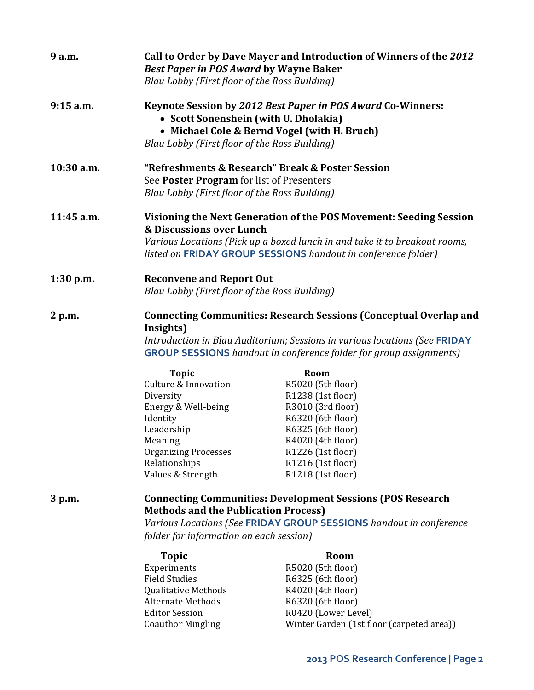| 9 a.m.      | Call to Order by Dave Mayer and Introduction of Winners of the 2012<br><b>Best Paper in POS Award by Wayne Baker</b><br>Blau Lobby (First floor of the Ross Building)                                                                            |                                                                    |  |
|-------------|--------------------------------------------------------------------------------------------------------------------------------------------------------------------------------------------------------------------------------------------------|--------------------------------------------------------------------|--|
| $9:15$ a.m. | Keynote Session by 2012 Best Paper in POS Award Co-Winners:<br>• Scott Sonenshein (with U. Dholakia)<br>• Michael Cole & Bernd Vogel (with H. Bruch)<br>Blau Lobby (First floor of the Ross Building)                                            |                                                                    |  |
| 10:30 a.m.  | "Refreshments & Research" Break & Poster Session<br>See Poster Program for list of Presenters<br>Blau Lobby (First floor of the Ross Building)                                                                                                   |                                                                    |  |
| 11:45 a.m.  | Visioning the Next Generation of the POS Movement: Seeding Session<br>& Discussions over Lunch<br>Various Locations (Pick up a boxed lunch in and take it to breakout rooms,<br>listed on FRIDAY GROUP SESSIONS handout in conference folder)    |                                                                    |  |
| $1:30$ p.m. | <b>Reconvene and Report Out</b><br>Blau Lobby (First floor of the Ross Building)                                                                                                                                                                 |                                                                    |  |
| 2 p.m.      | <b>Connecting Communities: Research Sessions (Conceptual Overlap and</b><br>Insights)<br>Introduction in Blau Auditorium; Sessions in various locations (See FRIDAY<br><b>GROUP SESSIONS</b> handout in conference folder for group assignments) |                                                                    |  |
|             | <b>Topic</b>                                                                                                                                                                                                                                     | Room                                                               |  |
|             | <b>Culture &amp; Innovation</b>                                                                                                                                                                                                                  | R5020 (5th floor)                                                  |  |
|             | Diversity                                                                                                                                                                                                                                        | R1238 (1st floor)                                                  |  |
|             | Energy & Well-being                                                                                                                                                                                                                              | R3010 (3rd floor)                                                  |  |
|             | Identity                                                                                                                                                                                                                                         | R6320 (6th floor)                                                  |  |
|             | Leadership                                                                                                                                                                                                                                       | R6325 (6th floor)                                                  |  |
|             | Meaning<br><b>Organizing Processes</b>                                                                                                                                                                                                           | R4020 (4th floor)<br>R1226 (1st floor)                             |  |
|             | Relationships                                                                                                                                                                                                                                    | R1216 (1st floor)                                                  |  |
|             | Values & Strength                                                                                                                                                                                                                                | R1218 (1st floor)                                                  |  |
| 3 p.m.      | <b>Methods and the Publication Process)</b>                                                                                                                                                                                                      | <b>Connecting Communities: Development Sessions (POS Research</b>  |  |
|             |                                                                                                                                                                                                                                                  | Various Locations (See FRIDAY GROUP SESSIONS handout in conference |  |
|             | folder for information on each session)                                                                                                                                                                                                          |                                                                    |  |
|             | <b>Topic</b>                                                                                                                                                                                                                                     | Room                                                               |  |
|             | Experiments                                                                                                                                                                                                                                      | R5020 (5th floor)                                                  |  |
|             | <b>Field Studies</b>                                                                                                                                                                                                                             | R6325 (6th floor)                                                  |  |
|             | <b>Qualitative Methods</b>                                                                                                                                                                                                                       | R4020 (4th floor)                                                  |  |
|             | <b>Alternate Methods</b>                                                                                                                                                                                                                         | R6320 (6th floor)                                                  |  |
|             | <b>Editor Session</b>                                                                                                                                                                                                                            | R0420 (Lower Level)                                                |  |
|             | <b>Coauthor Mingling</b>                                                                                                                                                                                                                         | Winter Garden (1st floor (carpeted area))                          |  |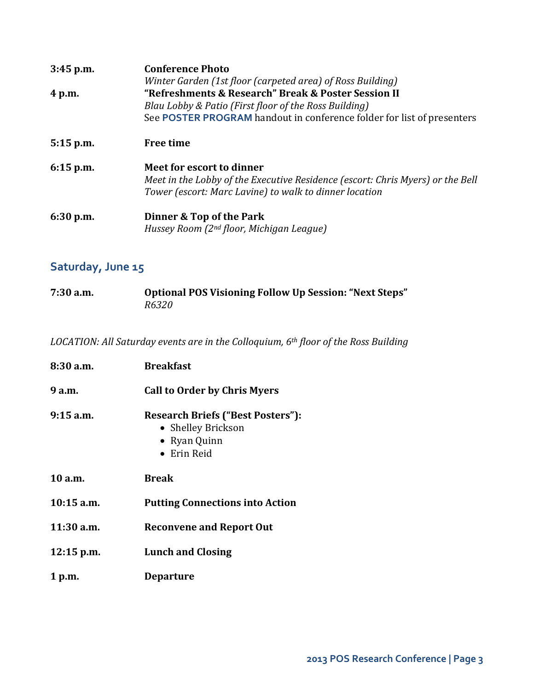| $3:45$ p.m. | <b>Conference Photo</b><br>Winter Garden (1st floor (carpeted area) of Ross Building)<br>"Refreshments & Research" Break & Poster Session II<br>Blau Lobby & Patio (First floor of the Ross Building)<br>See POSTER PROGRAM handout in conference folder for list of presenters |  |
|-------------|---------------------------------------------------------------------------------------------------------------------------------------------------------------------------------------------------------------------------------------------------------------------------------|--|
| 4 p.m.      |                                                                                                                                                                                                                                                                                 |  |
| $5:15$ p.m. | <b>Free time</b>                                                                                                                                                                                                                                                                |  |
| $6:15$ p.m. | Meet for escort to dinner<br>Meet in the Lobby of the Executive Residence (escort: Chris Myers) or the Bell<br>Tower (escort: Marc Lavine) to walk to dinner location                                                                                                           |  |
| 6:30 p.m.   | Dinner & Top of the Park<br>Hussey Room (2 <sup>nd</sup> floor, Michigan League)                                                                                                                                                                                                |  |

# **Saturday, June 15**

| $7:30$ a.m. | Optional POS Visioning Follow Up Session: "Next Steps" |
|-------------|--------------------------------------------------------|
|             | <i>R6320</i>                                           |

*LOCATION: All Saturday events are in the Colloquium, 6th floor of the Ross Building*

| 8:30 a.m.    | <b>Breakfast</b>                                                                              |
|--------------|-----------------------------------------------------------------------------------------------|
| 9 a.m.       | <b>Call to Order by Chris Myers</b>                                                           |
| $9:15$ a.m.  | <b>Research Briefs ("Best Posters"):</b><br>• Shelley Brickson<br>• Ryan Quinn<br>• Erin Reid |
| 10 a.m.      | <b>Break</b>                                                                                  |
| $10:15$ a.m. | <b>Putting Connections into Action</b>                                                        |
| $11:30$ a.m. | <b>Reconvene and Report Out</b>                                                               |
| $12:15$ p.m. | <b>Lunch and Closing</b>                                                                      |
| 1 p.m.       | <b>Departure</b>                                                                              |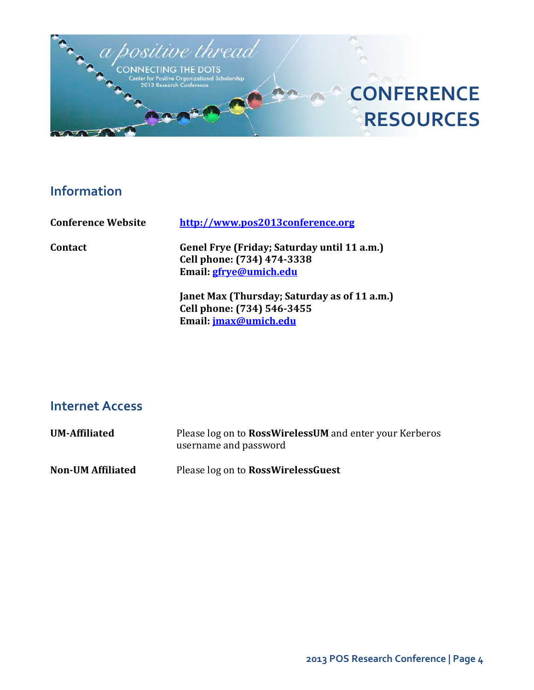

## **Information**

**Conference Website [http://www.pos2013conference.org](http://www.pos2013conference.org/)**

**Contact Genel Frye (Friday; Saturday until 11 a.m.) Cell phone: (734) 474-3338 Email[: gfrye@umich.edu](mailto:gfrye@umich.edu)**

> **Janet Max (Thursday; Saturday as of 11 a.m.) Cell phone: (734) 546-3455 Email[: jmax@umich.edu](mailto:jmax@umich.edu)**

### **Internet Access**

| <b>UM-Affiliated</b>     | Please log on to <b>RossWirelessUM</b> and enter your Kerberos<br>username and password |
|--------------------------|-----------------------------------------------------------------------------------------|
| <b>Non-UM Affiliated</b> | Please log on to <b>RossWirelessGuest</b>                                               |